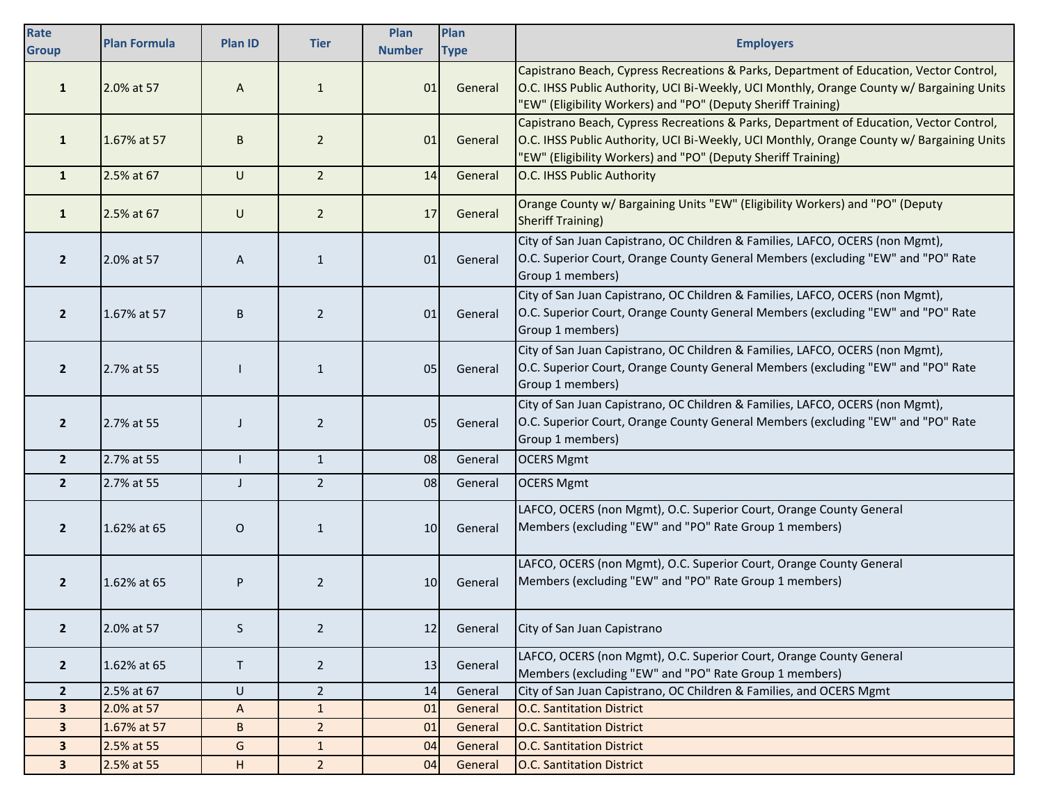| Rate<br><b>Group</b>    | <b>Plan Formula</b> | <b>Plan ID</b> | <b>Tier</b>    | Plan<br><b>Number</b> | Plan<br><b>Type</b> | <b>Employers</b>                                                                                                                                                                                                                                      |
|-------------------------|---------------------|----------------|----------------|-----------------------|---------------------|-------------------------------------------------------------------------------------------------------------------------------------------------------------------------------------------------------------------------------------------------------|
| $\mathbf{1}$            | 2.0% at 57          | A              | $\mathbf{1}$   | 01                    | General             | Capistrano Beach, Cypress Recreations & Parks, Department of Education, Vector Control,<br>O.C. IHSS Public Authority, UCI Bi-Weekly, UCI Monthly, Orange County w/ Bargaining Units<br>"EW" (Eligibility Workers) and "PO" (Deputy Sheriff Training) |
| $\mathbf{1}$            | 1.67% at 57         | B              | $\overline{2}$ | 01                    | General             | Capistrano Beach, Cypress Recreations & Parks, Department of Education, Vector Control,<br>O.C. IHSS Public Authority, UCI Bi-Weekly, UCI Monthly, Orange County w/ Bargaining Units<br>"EW" (Eligibility Workers) and "PO" (Deputy Sheriff Training) |
| $\mathbf{1}$            | 2.5% at 67          | U              | 2 <sup>1</sup> | 14                    | General             | O.C. IHSS Public Authority                                                                                                                                                                                                                            |
| $\mathbf{1}$            | 2.5% at 67          | U              | $\overline{2}$ | 17                    | General             | Orange County w/ Bargaining Units "EW" (Eligibility Workers) and "PO" (Deputy<br><b>Sheriff Training)</b>                                                                                                                                             |
| $\overline{2}$          | 2.0% at 57          | A              | $\mathbf{1}$   | 01                    | General             | City of San Juan Capistrano, OC Children & Families, LAFCO, OCERS (non Mgmt),<br>O.C. Superior Court, Orange County General Members (excluding "EW" and "PO" Rate<br>Group 1 members)                                                                 |
| $\overline{2}$          | 1.67% at 57         | B              | $\overline{2}$ | 01                    | General             | City of San Juan Capistrano, OC Children & Families, LAFCO, OCERS (non Mgmt),<br>O.C. Superior Court, Orange County General Members (excluding "EW" and "PO" Rate<br>Group 1 members)                                                                 |
| $\overline{2}$          | 2.7% at 55          |                | $\mathbf{1}$   | 05                    | General             | City of San Juan Capistrano, OC Children & Families, LAFCO, OCERS (non Mgmt),<br>O.C. Superior Court, Orange County General Members (excluding "EW" and "PO" Rate<br>Group 1 members)                                                                 |
| $\overline{2}$          | 2.7% at 55          | J              | $\overline{2}$ | 05                    | General             | City of San Juan Capistrano, OC Children & Families, LAFCO, OCERS (non Mgmt),<br>O.C. Superior Court, Orange County General Members (excluding "EW" and "PO" Rate<br>Group 1 members)                                                                 |
| $\mathbf{2}$            | 2.7% at 55          |                | $\mathbf{1}$   | 08                    | General             | <b>OCERS Mgmt</b>                                                                                                                                                                                                                                     |
| $\overline{2}$          | 2.7% at 55          | J              | $\overline{2}$ | 08                    | General             | <b>OCERS Mgmt</b>                                                                                                                                                                                                                                     |
| $\overline{2}$          | 1.62% at 65         | O              | $\mathbf{1}$   | 10                    | General             | LAFCO, OCERS (non Mgmt), O.C. Superior Court, Orange County General<br>Members (excluding "EW" and "PO" Rate Group 1 members)                                                                                                                         |
| $\overline{2}$          | 1.62% at 65         | P              | $\overline{2}$ | 10 <sup>1</sup>       | General             | LAFCO, OCERS (non Mgmt), O.C. Superior Court, Orange County General<br>Members (excluding "EW" and "PO" Rate Group 1 members)                                                                                                                         |
| $\mathbf{2}$            | 2.0% at 57          | S              | $\overline{2}$ | 12                    | General             | City of San Juan Capistrano                                                                                                                                                                                                                           |
| $\mathbf{2}$            | 1.62% at 65         | T              | $\overline{2}$ | 13                    | General             | LAFCO, OCERS (non Mgmt), O.C. Superior Court, Orange County General<br>Members (excluding "EW" and "PO" Rate Group 1 members)                                                                                                                         |
| $\overline{2}$          | 2.5% at 67          | U              | $\overline{2}$ | 14                    | General             | City of San Juan Capistrano, OC Children & Families, and OCERS Mgmt                                                                                                                                                                                   |
| $\overline{\mathbf{3}}$ | 2.0% at 57          | A              | $\mathbf{1}$   | 01                    | General             | <b>O.C. Santitation District</b>                                                                                                                                                                                                                      |
| $\mathbf{3}$            | 1.67% at 57         | B              | $\overline{2}$ | 01                    | General             | <b>O.C. Santitation District</b>                                                                                                                                                                                                                      |
| $\mathbf{3}$            | 2.5% at 55          | G              | $\mathbf{1}$   | 04                    | General             | <b>O.C. Santitation District</b>                                                                                                                                                                                                                      |
| $\mathbf{3}$            | 2.5% at 55          | H              | $\overline{2}$ | 04                    | General             | <b>O.C. Santitation District</b>                                                                                                                                                                                                                      |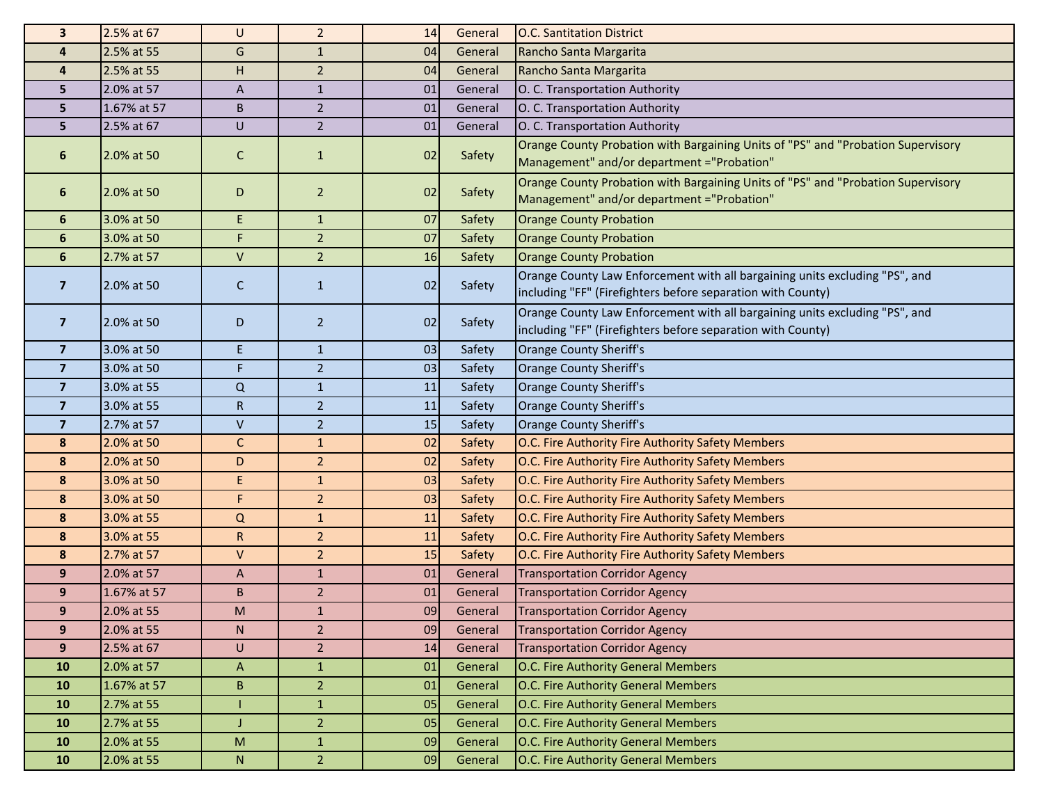| 3                       | 2.5% at 67  | U            | $\overline{2}$ | 14 | General | <b>O.C. Santitation District</b>                                                                                                           |
|-------------------------|-------------|--------------|----------------|----|---------|--------------------------------------------------------------------------------------------------------------------------------------------|
| $\overline{\mathbf{4}}$ | 2.5% at 55  | G            | $\mathbf{1}$   | 04 | General | Rancho Santa Margarita                                                                                                                     |
| 4                       | 2.5% at 55  | н            | $\overline{2}$ | 04 | General | Rancho Santa Margarita                                                                                                                     |
| 5                       | 2.0% at 57  | A            | $\mathbf{1}$   | 01 | General | O. C. Transportation Authority                                                                                                             |
| 5                       | 1.67% at 57 | B            | $\overline{2}$ | 01 | General | O. C. Transportation Authority                                                                                                             |
| 5                       | 2.5% at 67  | U            | $\overline{2}$ | 01 | General | O. C. Transportation Authority                                                                                                             |
| 6                       | 2.0% at 50  | C            | $\mathbf{1}$   | 02 | Safety  | Orange County Probation with Bargaining Units of "PS" and "Probation Supervisory<br>Management" and/or department ="Probation"             |
| 6                       | 2.0% at 50  | D            | $\overline{2}$ | 02 | Safety  | Orange County Probation with Bargaining Units of "PS" and "Probation Supervisory<br>Management" and/or department ="Probation"             |
| 6                       | 3.0% at 50  | E.           | $\mathbf{1}$   | 07 | Safety  | <b>Orange County Probation</b>                                                                                                             |
| 6                       | 3.0% at 50  | F            | $\overline{2}$ | 07 | Safety  | <b>Orange County Probation</b>                                                                                                             |
| 6                       | 2.7% at 57  | V            | $\overline{2}$ | 16 | Safety  | <b>Orange County Probation</b>                                                                                                             |
| $\overline{\mathbf{z}}$ | 2.0% at 50  | C            | $\mathbf{1}$   | 02 | Safety  | Orange County Law Enforcement with all bargaining units excluding "PS", and<br>including "FF" (Firefighters before separation with County) |
| $\overline{\mathbf{z}}$ | 2.0% at 50  | D            | $\overline{2}$ | 02 | Safety  | Orange County Law Enforcement with all bargaining units excluding "PS", and<br>including "FF" (Firefighters before separation with County) |
| $\overline{7}$          | 3.0% at 50  | E.           | $\mathbf{1}$   | 03 | Safety  | <b>Orange County Sheriff's</b>                                                                                                             |
| $\overline{7}$          | 3.0% at 50  | F.           | $\overline{2}$ | 03 | Safety  | Orange County Sheriff's                                                                                                                    |
| $\overline{7}$          | 3.0% at 55  | $\mathsf Q$  | $\mathbf{1}$   | 11 | Safety  | <b>Orange County Sheriff's</b>                                                                                                             |
| $\overline{7}$          | 3.0% at 55  | $\mathsf{R}$ | $\overline{2}$ | 11 | Safety  | Orange County Sheriff's                                                                                                                    |
| $\overline{\mathbf{z}}$ | 2.7% at 57  | V            | $\overline{2}$ | 15 | Safety  | Orange County Sheriff's                                                                                                                    |
| 8                       | 2.0% at 50  | C            | $\mathbf{1}$   | 02 | Safety  | O.C. Fire Authority Fire Authority Safety Members                                                                                          |
| 8                       | 2.0% at 50  | D            | $\overline{2}$ | 02 | Safety  | O.C. Fire Authority Fire Authority Safety Members                                                                                          |
| 8                       | 3.0% at 50  | E            | $\mathbf{1}$   | 03 | Safety  | O.C. Fire Authority Fire Authority Safety Members                                                                                          |
| 8                       | 3.0% at 50  | F            | $\overline{2}$ | 03 | Safety  | O.C. Fire Authority Fire Authority Safety Members                                                                                          |
| 8                       | 3.0% at 55  | $\Omega$     | $\mathbf 1$    | 11 | Safety  | O.C. Fire Authority Fire Authority Safety Members                                                                                          |
| 8                       | 3.0% at 55  | $\mathsf{R}$ | $\overline{2}$ | 11 | Safety  | O.C. Fire Authority Fire Authority Safety Members                                                                                          |
| 8                       | 2.7% at 57  | V            | $\overline{2}$ | 15 | Safety  | O.C. Fire Authority Fire Authority Safety Members                                                                                          |
| 9                       | 2.0% at 57  | A            | $\mathbf{1}$   | 01 | General | <b>Transportation Corridor Agency</b>                                                                                                      |
| 9                       | 1.67% at 57 | B            | $\overline{2}$ | 01 | General | <b>Transportation Corridor Agency</b>                                                                                                      |
| 9                       | 2.0% at 55  | ${\sf M}$    | $\mathbf{1}$   | 09 | General | <b>Transportation Corridor Agency</b>                                                                                                      |
| 9                       | 2.0% at 55  | N            | $\overline{2}$ | 09 | General | <b>Transportation Corridor Agency</b>                                                                                                      |
| 9                       | 2.5% at 67  | $\sf U$      | $\overline{2}$ | 14 | General | <b>Transportation Corridor Agency</b>                                                                                                      |
| 10                      | 2.0% at 57  | A            | $\mathbf{1}$   | 01 | General | O.C. Fire Authority General Members                                                                                                        |
| <b>10</b>               | 1.67% at 57 | B            | $\overline{2}$ | 01 | General | O.C. Fire Authority General Members                                                                                                        |
| 10                      | 2.7% at 55  |              | $1\,$          | 05 | General | O.C. Fire Authority General Members                                                                                                        |
| <b>10</b>               | 2.7% at 55  | J            | $\overline{2}$ | 05 | General | O.C. Fire Authority General Members                                                                                                        |
| <b>10</b>               | 2.0% at 55  | M            | $\mathbf{1}$   | 09 | General | O.C. Fire Authority General Members                                                                                                        |
| <b>10</b>               | 2.0% at 55  | ${\sf N}$    | $\overline{2}$ | 09 | General | O.C. Fire Authority General Members                                                                                                        |